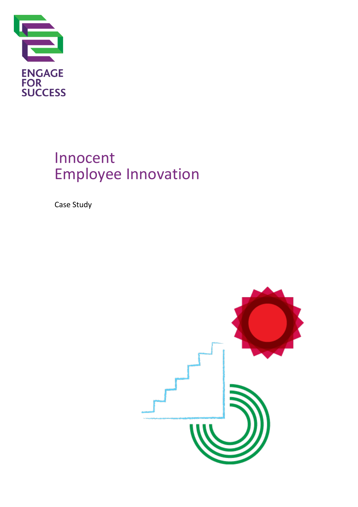

# Innocent Employee Innovation

Case Study

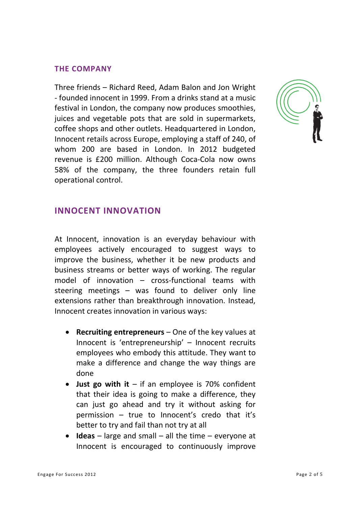#### **THE COMPANY**

Three friends – Richard Reed, Adam Balon and Jon Wright - founded innocent in 1999. From a drinks stand at a music festival in London, the company now produces smoothies, juices and vegetable pots that are sold in supermarkets, coffee shops and other outlets. Headquartered in London, Innocent retails across Europe, employing a staff of 240, of whom 200 are based in London. In 2012 budgeted revenue is £200 million. Although Coca-Cola now owns 58% of the company, the three founders retain full operational control.



### **INNOCENT INNOVATION**

At Innocent, innovation is an everyday behaviour with employees actively encouraged to suggest ways to improve the business, whether it be new products and business streams or better ways of working. The regular model of innovation – cross-functional teams with steering meetings – was found to deliver only line extensions rather than breakthrough innovation. Instead, Innocent creates innovation in various ways:

- **Recruiting entrepreneurs** One of the key values at Innocent is 'entrepreneurship' – Innocent recruits employees who embody this attitude. They want to make a difference and change the way things are done
- **Just go with it** if an employee is 70% confident that their idea is going to make a difference, they can just go ahead and try it without asking for permission – true to Innocent's credo that it's better to try and fail than not try at all
- **Ideas**  large and small all the time everyone at Innocent is encouraged to continuously improve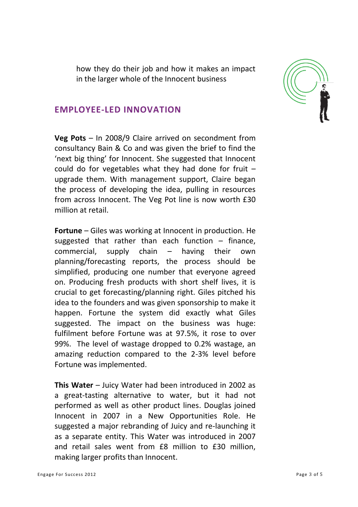how they do their job and how it makes an impact in the larger whole of the Innocent business



#### **EMPLOYEE-LED INNOVATION**

**Veg Pots** – In 2008/9 Claire arrived on secondment from consultancy Bain & Co and was given the brief to find the 'next big thing' for Innocent. She suggested that Innocent could do for vegetables what they had done for fruit – upgrade them. With management support, Claire began the process of developing the idea, pulling in resources from across Innocent. The Veg Pot line is now worth £30 million at retail.

**Fortune** – Giles was working at Innocent in production. He suggested that rather than each function  $-$  finance, commercial, supply chain – having their own planning/forecasting reports, the process should be simplified, producing one number that everyone agreed on. Producing fresh products with short shelf lives, it is crucial to get forecasting/planning right. Giles pitched his idea to the founders and was given sponsorship to make it happen. Fortune the system did exactly what Giles suggested. The impact on the business was huge: fulfilment before Fortune was at 97.5%, it rose to over 99%. The level of wastage dropped to 0.2% wastage, an amazing reduction compared to the 2-3% level before Fortune was implemented.

**This Water** – Juicy Water had been introduced in 2002 as a great-tasting alternative to water, but it had not performed as well as other product lines. Douglas joined Innocent in 2007 in a New Opportunities Role. He suggested a major rebranding of Juicy and re-launching it as a separate entity. This Water was introduced in 2007 and retail sales went from £8 million to £30 million, making larger profits than Innocent.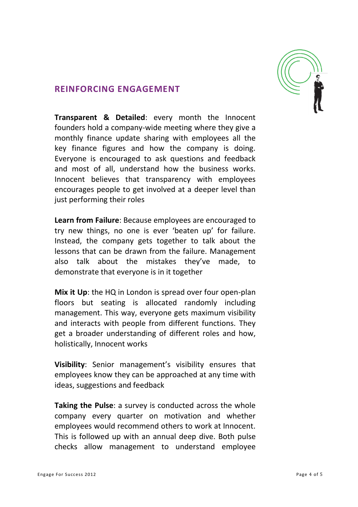

#### **REINFORCING ENGAGEMENT**

**Transparent & Detailed**: every month the Innocent founders hold a company-wide meeting where they give a monthly finance update sharing with employees all the key finance figures and how the company is doing. Everyone is encouraged to ask questions and feedback and most of all, understand how the business works. Innocent believes that transparency with employees encourages people to get involved at a deeper level than just performing their roles

**Learn from Failure**: Because employees are encouraged to try new things, no one is ever 'beaten up' for failure. Instead, the company gets together to talk about the lessons that can be drawn from the failure. Management also talk about the mistakes they've made, to demonstrate that everyone is in it together

**Mix it Up**: the HQ in London is spread over four open-plan floors but seating is allocated randomly including management. This way, everyone gets maximum visibility and interacts with people from different functions. They get a broader understanding of different roles and how, holistically, Innocent works

**Visibility**: Senior management's visibility ensures that employees know they can be approached at any time with ideas, suggestions and feedback

**Taking the Pulse**: a survey is conducted across the whole company every quarter on motivation and whether employees would recommend others to work at Innocent. This is followed up with an annual deep dive. Both pulse checks allow management to understand employee